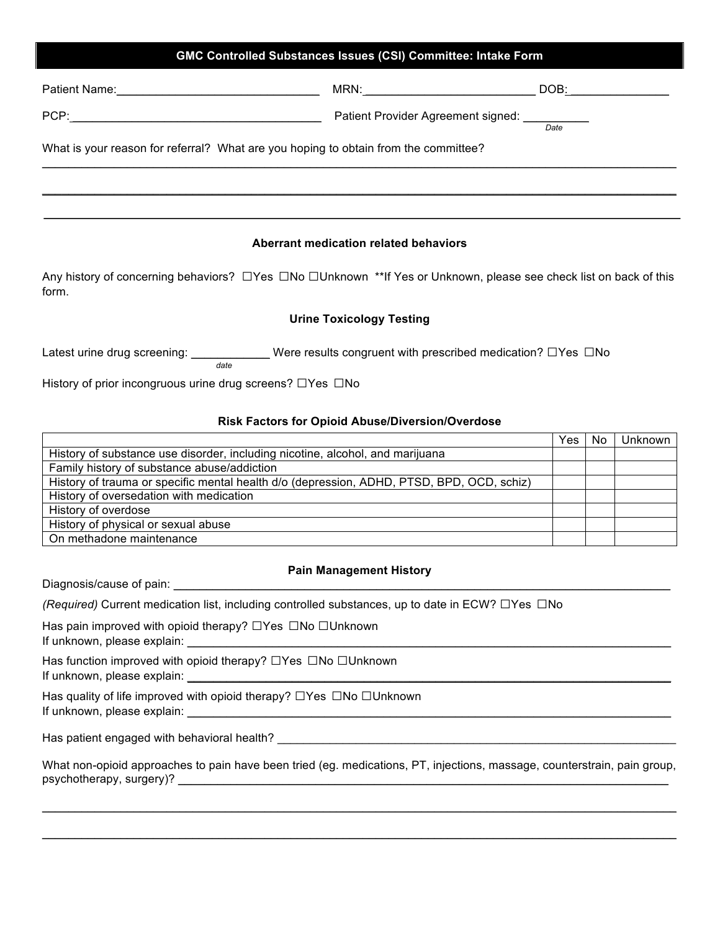### **GMC Controlled Substances Issues (CSI) Committee: Intake Form**

| Patient Name:                                                                       | MRN:                                    | DOB: |  |  |
|-------------------------------------------------------------------------------------|-----------------------------------------|------|--|--|
| PCP:                                                                                | Patient Provider Agreement signed: ____ | Date |  |  |
| What is your reason for referral? What are you hoping to obtain from the committee? |                                         |      |  |  |
|                                                                                     |                                         |      |  |  |

#### **Aberrant medication related behaviors**

Any history of concerning behaviors? □Yes □No □Unknown \*\*If Yes or Unknown, please see check list on back of this form.

#### **Urine Toxicology Testing**

Latest urine drug screening: \_\_\_\_\_\_\_\_\_\_\_\_\_\_ Were results congruent with prescribed medication? □Yes □No

History of prior incongruous urine drug screens? □Yes □No

*date*

#### **Risk Factors for Opioid Abuse/Diversion/Overdose**

|                                                                                           | Yes | No | Unknown |
|-------------------------------------------------------------------------------------------|-----|----|---------|
| History of substance use disorder, including nicotine, alcohol, and marijuana             |     |    |         |
| Family history of substance abuse/addiction                                               |     |    |         |
| History of trauma or specific mental health d/o (depression, ADHD, PTSD, BPD, OCD, schiz) |     |    |         |
| History of oversedation with medication                                                   |     |    |         |
| History of overdose                                                                       |     |    |         |
| History of physical or sexual abuse                                                       |     |    |         |
| On methadone maintenance                                                                  |     |    |         |

#### **Pain Management History**

Diagnosis/cause of pain: \_\_\_\_\_\_\_\_\_\_\_\_\_\_\_\_\_\_\_\_\_\_\_\_\_\_\_\_\_\_\_\_\_\_\_\_\_\_\_\_\_\_\_\_\_\_\_\_\_\_\_\_\_\_\_\_\_\_\_\_\_\_\_\_\_\_\_\_\_\_\_\_\_\_\_\_

*(Required)* Current medication list, including controlled substances, up to date in ECW? □Yes □No

Has pain improved with opioid therapy? □Yes □No □Unknown

If unknown, please explain:

Has function improved with opioid therapy? □Yes □No □Unknown

If unknown, please explain:

Has quality of life improved with opioid therapy? □Yes □No □Unknown If unknown, please explain: \_\_\_\_\_\_\_\_\_\_\_\_\_\_\_\_\_\_\_\_\_\_\_\_\_\_\_\_\_\_\_\_\_\_\_\_\_\_\_\_\_\_\_\_\_\_\_\_\_\_\_\_\_\_\_\_\_\_\_\_\_\_\_\_\_\_\_\_\_\_\_\_\_\_

Has patient engaged with behavioral health? \_\_\_\_\_\_\_\_\_\_\_\_\_\_\_\_\_\_\_\_\_\_\_\_\_\_\_\_\_\_\_\_\_\_\_\_\_\_\_\_\_\_\_\_\_\_\_\_\_\_\_\_\_\_\_\_\_\_\_\_\_

What non-opioid approaches to pain have been tried (eg. medications, PT, injections, massage, counterstrain, pain group, psychotherapy, surgery)?

 $\mathcal{L}_\mathcal{L} = \{ \mathcal{L}_\mathcal{L} = \{ \mathcal{L}_\mathcal{L} = \{ \mathcal{L}_\mathcal{L} = \{ \mathcal{L}_\mathcal{L} = \{ \mathcal{L}_\mathcal{L} = \{ \mathcal{L}_\mathcal{L} = \{ \mathcal{L}_\mathcal{L} = \{ \mathcal{L}_\mathcal{L} = \{ \mathcal{L}_\mathcal{L} = \{ \mathcal{L}_\mathcal{L} = \{ \mathcal{L}_\mathcal{L} = \{ \mathcal{L}_\mathcal{L} = \{ \mathcal{L}_\mathcal{L} = \{ \mathcal{L}_\mathcal{$ 

 $\_$  ,  $\_$  ,  $\_$  ,  $\_$  ,  $\_$  ,  $\_$  ,  $\_$  ,  $\_$  ,  $\_$  ,  $\_$  ,  $\_$  ,  $\_$  ,  $\_$  ,  $\_$  ,  $\_$  ,  $\_$  ,  $\_$  ,  $\_$  ,  $\_$  ,  $\_$  ,  $\_$  ,  $\_$  ,  $\_$  ,  $\_$  ,  $\_$  ,  $\_$  ,  $\_$  ,  $\_$  ,  $\_$  ,  $\_$  ,  $\_$  ,  $\_$  ,  $\_$  ,  $\_$  ,  $\_$  ,  $\_$  ,  $\_$  ,